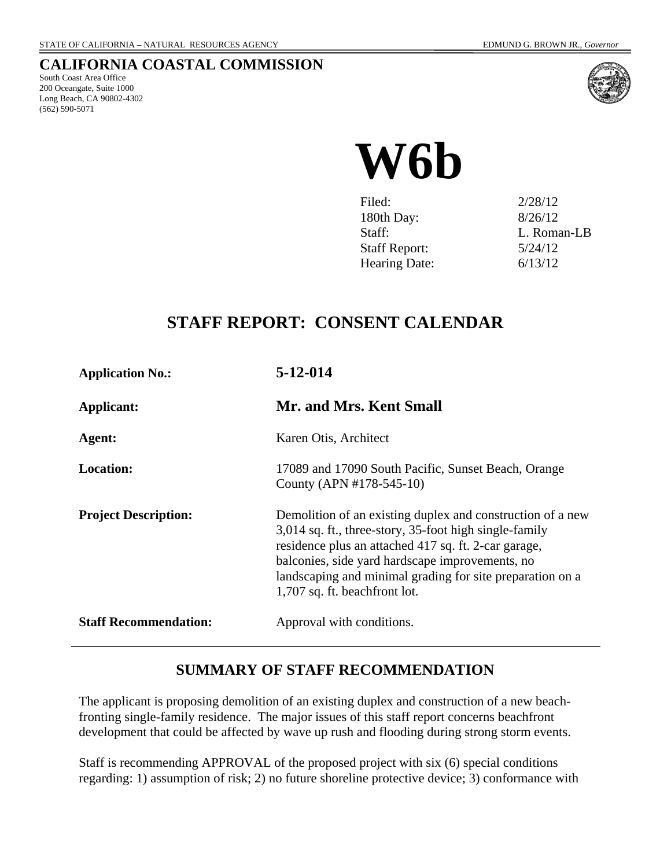## **CALIFORNIA COASTAL COMMISSION**

South Coast Area Office 200 Oceangate, Suite 1000 Long Beach, CA 90802-4302 (562) 590-5071



# **W6b**

| Filed:               | 2/28/12     |
|----------------------|-------------|
| 180th Day:           | 8/26/12     |
| Staff:               | L. Roman-LB |
| <b>Staff Report:</b> | 5/24/12     |
| <b>Hearing Date:</b> | 6/13/12     |

# **STAFF REPORT: CONSENT CALENDAR**

| <b>Application No.:</b>      | 5-12-014                                                                                                                                                                                                                                                                                                                      |  |
|------------------------------|-------------------------------------------------------------------------------------------------------------------------------------------------------------------------------------------------------------------------------------------------------------------------------------------------------------------------------|--|
| Applicant:                   | Mr. and Mrs. Kent Small                                                                                                                                                                                                                                                                                                       |  |
| Agent:                       | Karen Otis, Architect                                                                                                                                                                                                                                                                                                         |  |
| <b>Location:</b>             | 17089 and 17090 South Pacific, Sunset Beach, Orange<br>County (APN #178-545-10)                                                                                                                                                                                                                                               |  |
| <b>Project Description:</b>  | Demolition of an existing duplex and construction of a new<br>3,014 sq. ft., three-story, 35-foot high single-family<br>residence plus an attached 417 sq. ft. 2-car garage,<br>balconies, side yard hardscape improvements, no<br>landscaping and minimal grading for site preparation on a<br>1,707 sq. ft. beachfront lot. |  |
| <b>Staff Recommendation:</b> | Approval with conditions.                                                                                                                                                                                                                                                                                                     |  |

## **SUMMARY OF STAFF RECOMMENDATION**

The applicant is proposing demolition of an existing duplex and construction of a new beachfronting single-family residence. The major issues of this staff report concerns beachfront development that could be affected by wave up rush and flooding during strong storm events.

Staff is recommending APPROVAL of the proposed project with six (6) special conditions regarding: 1) assumption of risk; 2) no future shoreline protective device; 3) conformance with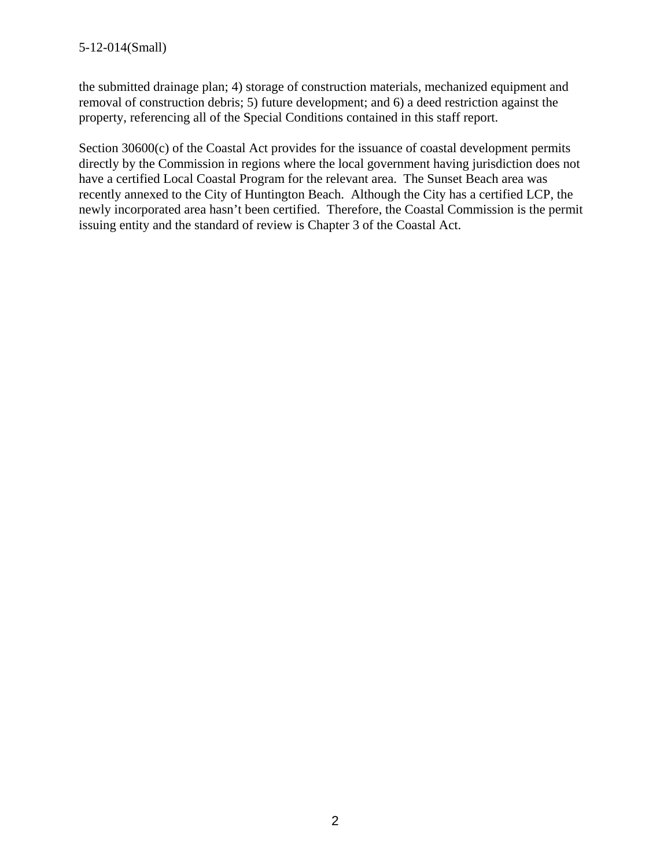the submitted drainage plan; 4) storage of construction materials, mechanized equipment and removal of construction debris; 5) future development; and 6) a deed restriction against the property, referencing all of the Special Conditions contained in this staff report.

Section 30600(c) of the Coastal Act provides for the issuance of coastal development permits directly by the Commission in regions where the local government having jurisdiction does not have a certified Local Coastal Program for the relevant area. The Sunset Beach area was recently annexed to the City of Huntington Beach. Although the City has a certified LCP, the newly incorporated area hasn't been certified. Therefore, the Coastal Commission is the permit issuing entity and the standard of review is Chapter 3 of the Coastal Act.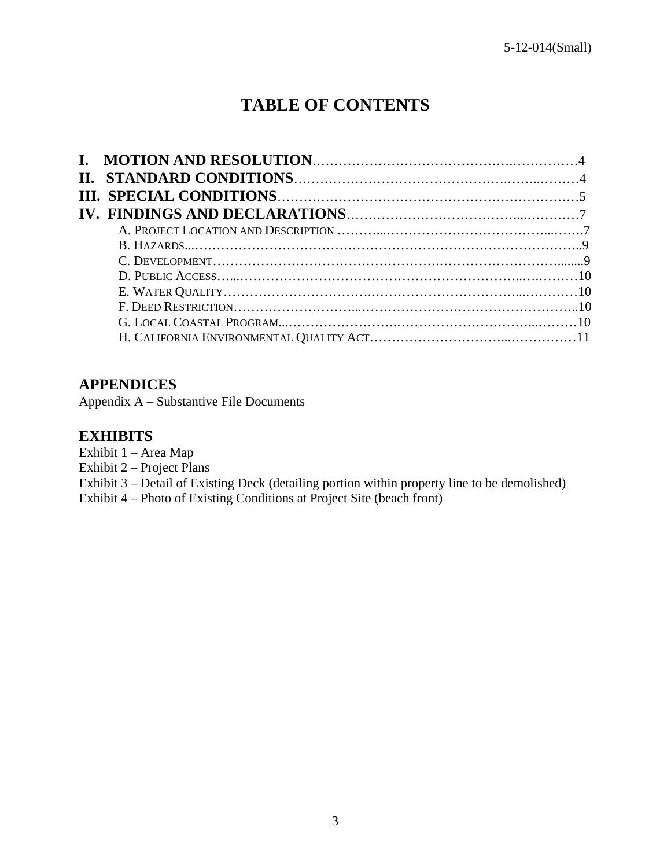# **TABLE OF CONTENTS**

## **APPENDICES**

Appendix A – Substantive File Documents

## **EXHIBITS**

- Exhibit 1 Area Map
- Exhibit 2 Project Plans
- Exhibit 3 Detail of Existing Deck (detailing portion within property line to be demolished)
- Exhibit 4 Photo of Existing Conditions at Project Site (beach front)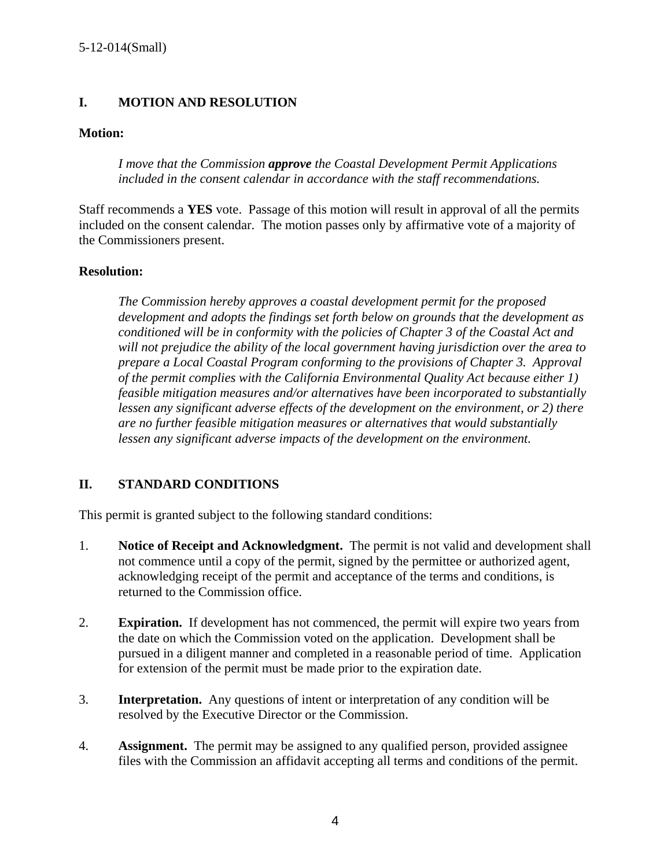## **I. MOTION AND RESOLUTION**

## **Motion:**

*I move that the Commission approve the Coastal Development Permit Applications included in the consent calendar in accordance with the staff recommendations.* 

Staff recommends a **YES** vote. Passage of this motion will result in approval of all the permits included on the consent calendar. The motion passes only by affirmative vote of a majority of the Commissioners present.

## **Resolution:**

*The Commission hereby approves a coastal development permit for the proposed development and adopts the findings set forth below on grounds that the development as conditioned will be in conformity with the policies of Chapter 3 of the Coastal Act and will not prejudice the ability of the local government having jurisdiction over the area to prepare a Local Coastal Program conforming to the provisions of Chapter 3. Approval of the permit complies with the California Environmental Quality Act because either 1) feasible mitigation measures and/or alternatives have been incorporated to substantially lessen any significant adverse effects of the development on the environment, or 2) there are no further feasible mitigation measures or alternatives that would substantially lessen any significant adverse impacts of the development on the environment.* 

## **II. STANDARD CONDITIONS**

This permit is granted subject to the following standard conditions:

- 1. **Notice of Receipt and Acknowledgment.** The permit is not valid and development shall not commence until a copy of the permit, signed by the permittee or authorized agent, acknowledging receipt of the permit and acceptance of the terms and conditions, is returned to the Commission office.
- 2. **Expiration.** If development has not commenced, the permit will expire two years from the date on which the Commission voted on the application. Development shall be pursued in a diligent manner and completed in a reasonable period of time. Application for extension of the permit must be made prior to the expiration date.
- 3. **Interpretation.** Any questions of intent or interpretation of any condition will be resolved by the Executive Director or the Commission.
- 4. **Assignment.** The permit may be assigned to any qualified person, provided assignee files with the Commission an affidavit accepting all terms and conditions of the permit.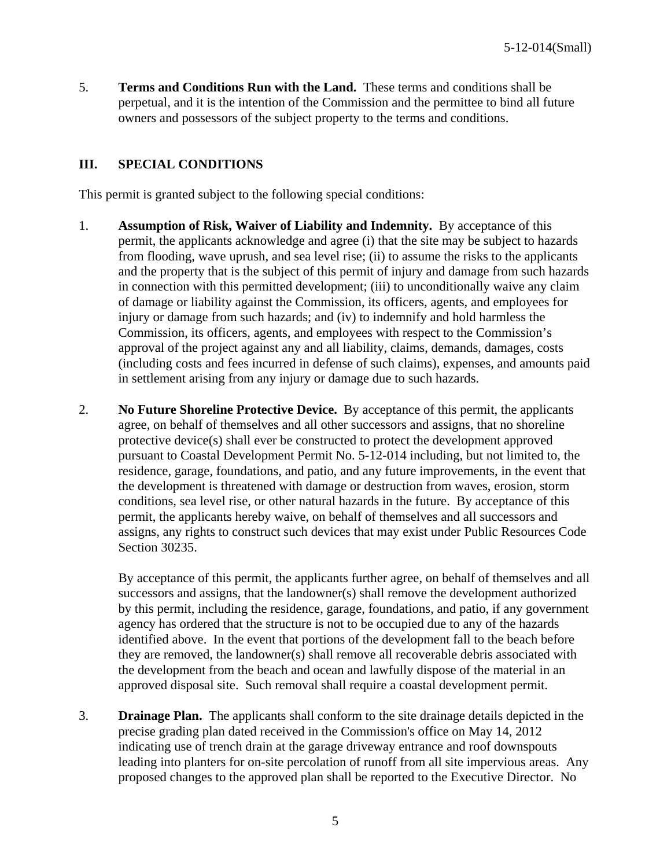5. **Terms and Conditions Run with the Land.** These terms and conditions shall be perpetual, and it is the intention of the Commission and the permittee to bind all future owners and possessors of the subject property to the terms and conditions.

## **III. SPECIAL CONDITIONS**

This permit is granted subject to the following special conditions:

- 1. **Assumption of Risk, Waiver of Liability and Indemnity.** By acceptance of this permit, the applicants acknowledge and agree (i) that the site may be subject to hazards from flooding, wave uprush, and sea level rise; (ii) to assume the risks to the applicants and the property that is the subject of this permit of injury and damage from such hazards in connection with this permitted development; (iii) to unconditionally waive any claim of damage or liability against the Commission, its officers, agents, and employees for injury or damage from such hazards; and (iv) to indemnify and hold harmless the Commission, its officers, agents, and employees with respect to the Commission's approval of the project against any and all liability, claims, demands, damages, costs (including costs and fees incurred in defense of such claims), expenses, and amounts paid in settlement arising from any injury or damage due to such hazards.
- 2. **No Future Shoreline Protective Device.** By acceptance of this permit, the applicants agree, on behalf of themselves and all other successors and assigns, that no shoreline protective device(s) shall ever be constructed to protect the development approved pursuant to Coastal Development Permit No. 5-12-014 including, but not limited to, the residence, garage, foundations, and patio, and any future improvements, in the event that the development is threatened with damage or destruction from waves, erosion, storm conditions, sea level rise, or other natural hazards in the future. By acceptance of this permit, the applicants hereby waive, on behalf of themselves and all successors and assigns, any rights to construct such devices that may exist under Public Resources Code Section 30235.

By acceptance of this permit, the applicants further agree, on behalf of themselves and all successors and assigns, that the landowner(s) shall remove the development authorized by this permit, including the residence, garage, foundations, and patio, if any government agency has ordered that the structure is not to be occupied due to any of the hazards identified above. In the event that portions of the development fall to the beach before they are removed, the landowner(s) shall remove all recoverable debris associated with the development from the beach and ocean and lawfully dispose of the material in an approved disposal site. Such removal shall require a coastal development permit.

3. **Drainage Plan.** The applicants shall conform to the site drainage details depicted in the precise grading plan dated received in the Commission's office on May 14, 2012 indicating use of trench drain at the garage driveway entrance and roof downspouts leading into planters for on-site percolation of runoff from all site impervious areas. Any proposed changes to the approved plan shall be reported to the Executive Director. No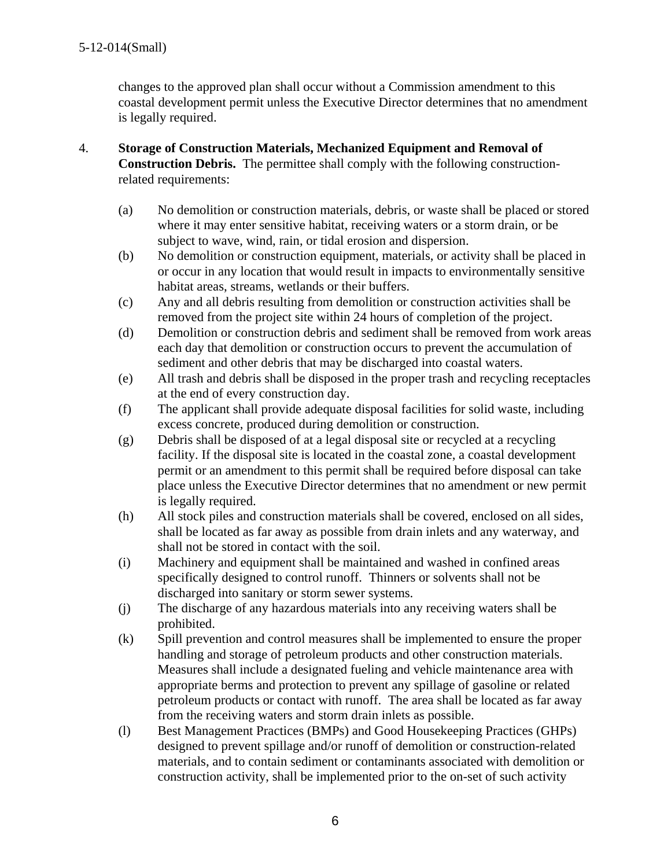changes to the approved plan shall occur without a Commission amendment to this coastal development permit unless the Executive Director determines that no amendment is legally required.

- 4. **Storage of Construction Materials, Mechanized Equipment and Removal of Construction Debris.** The permittee shall comply with the following constructionrelated requirements:
	- (a) No demolition or construction materials, debris, or waste shall be placed or stored where it may enter sensitive habitat, receiving waters or a storm drain, or be subject to wave, wind, rain, or tidal erosion and dispersion.
	- (b) No demolition or construction equipment, materials, or activity shall be placed in or occur in any location that would result in impacts to environmentally sensitive habitat areas, streams, wetlands or their buffers.
	- (c) Any and all debris resulting from demolition or construction activities shall be removed from the project site within 24 hours of completion of the project.
	- (d) Demolition or construction debris and sediment shall be removed from work areas each day that demolition or construction occurs to prevent the accumulation of sediment and other debris that may be discharged into coastal waters.
	- (e) All trash and debris shall be disposed in the proper trash and recycling receptacles at the end of every construction day.
	- (f) The applicant shall provide adequate disposal facilities for solid waste, including excess concrete, produced during demolition or construction.
	- (g) Debris shall be disposed of at a legal disposal site or recycled at a recycling facility. If the disposal site is located in the coastal zone, a coastal development permit or an amendment to this permit shall be required before disposal can take place unless the Executive Director determines that no amendment or new permit is legally required.
	- (h) All stock piles and construction materials shall be covered, enclosed on all sides, shall be located as far away as possible from drain inlets and any waterway, and shall not be stored in contact with the soil.
	- (i) Machinery and equipment shall be maintained and washed in confined areas specifically designed to control runoff. Thinners or solvents shall not be discharged into sanitary or storm sewer systems.
	- (j) The discharge of any hazardous materials into any receiving waters shall be prohibited.
	- (k) Spill prevention and control measures shall be implemented to ensure the proper handling and storage of petroleum products and other construction materials. Measures shall include a designated fueling and vehicle maintenance area with appropriate berms and protection to prevent any spillage of gasoline or related petroleum products or contact with runoff. The area shall be located as far away from the receiving waters and storm drain inlets as possible.
	- (l) Best Management Practices (BMPs) and Good Housekeeping Practices (GHPs) designed to prevent spillage and/or runoff of demolition or construction-related materials, and to contain sediment or contaminants associated with demolition or construction activity, shall be implemented prior to the on-set of such activity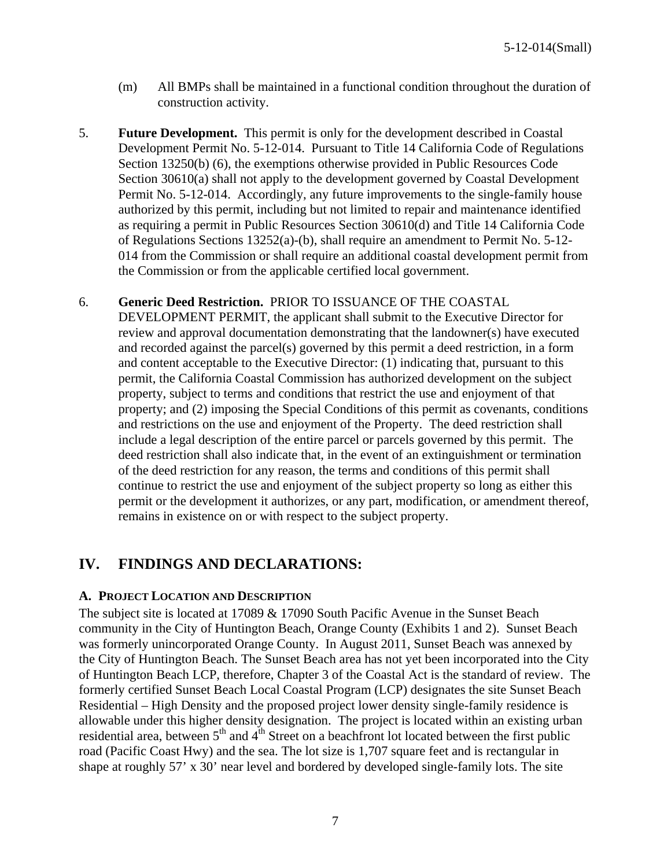- (m) All BMPs shall be maintained in a functional condition throughout the duration of construction activity.
- 5. **Future Development.** This permit is only for the development described in Coastal Development Permit No. 5-12-014. Pursuant to Title 14 California Code of Regulations Section 13250(b) (6), the exemptions otherwise provided in Public Resources Code Section 30610(a) shall not apply to the development governed by Coastal Development Permit No. 5-12-014. Accordingly, any future improvements to the single-family house authorized by this permit, including but not limited to repair and maintenance identified as requiring a permit in Public Resources Section 30610(d) and Title 14 California Code of Regulations Sections 13252(a)-(b), shall require an amendment to Permit No. 5-12- 014 from the Commission or shall require an additional coastal development permit from the Commission or from the applicable certified local government.

## 6. **Generic Deed Restriction.** PRIOR TO ISSUANCE OF THE COASTAL

DEVELOPMENT PERMIT, the applicant shall submit to the Executive Director for review and approval documentation demonstrating that the landowner(s) have executed and recorded against the parcel(s) governed by this permit a deed restriction, in a form and content acceptable to the Executive Director: (1) indicating that, pursuant to this permit, the California Coastal Commission has authorized development on the subject property, subject to terms and conditions that restrict the use and enjoyment of that property; and (2) imposing the Special Conditions of this permit as covenants, conditions and restrictions on the use and enjoyment of the Property. The deed restriction shall include a legal description of the entire parcel or parcels governed by this permit. The deed restriction shall also indicate that, in the event of an extinguishment or termination of the deed restriction for any reason, the terms and conditions of this permit shall continue to restrict the use and enjoyment of the subject property so long as either this permit or the development it authorizes, or any part, modification, or amendment thereof, remains in existence on or with respect to the subject property.

## **IV. FINDINGS AND DECLARATIONS:**

#### **A. PROJECT LOCATION AND DESCRIPTION**

The subject site is located at 17089 & 17090 South Pacific Avenue in the Sunset Beach community in the City of Huntington Beach, Orange County (Exhibits 1 and 2). Sunset Beach was formerly unincorporated Orange County. In August 2011, Sunset Beach was annexed by the City of Huntington Beach. The Sunset Beach area has not yet been incorporated into the City of Huntington Beach LCP, therefore, Chapter 3 of the Coastal Act is the standard of review. The formerly certified Sunset Beach Local Coastal Program (LCP) designates the site Sunset Beach Residential – High Density and the proposed project lower density single-family residence is allowable under this higher density designation. The project is located within an existing urban residential area, between  $5<sup>th</sup>$  and  $4<sup>th</sup>$  Street on a beachfront lot located between the first public road (Pacific Coast Hwy) and the sea. The lot size is 1,707 square feet and is rectangular in shape at roughly 57' x 30' near level and bordered by developed single-family lots. The site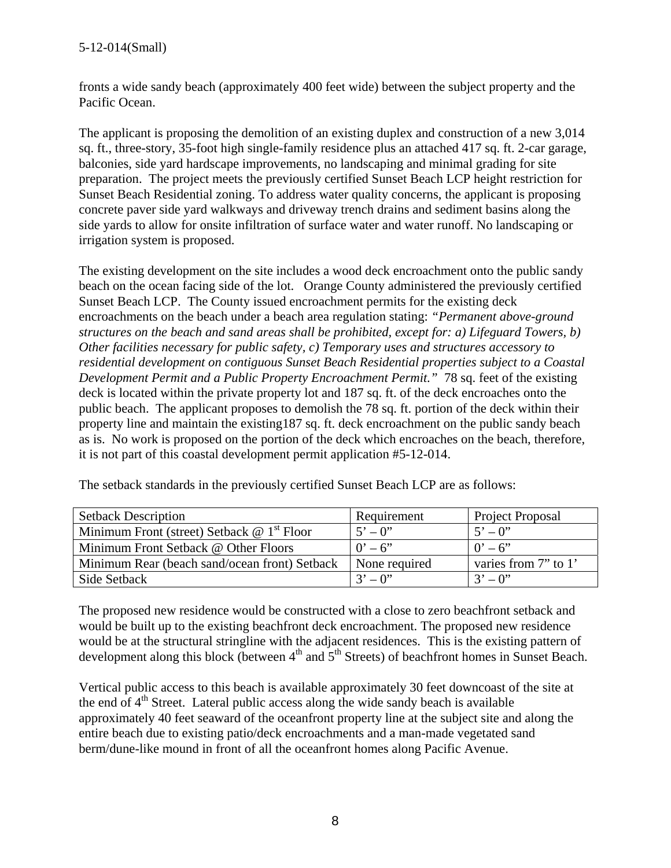## 5-12-014(Small)

fronts a wide sandy beach (approximately 400 feet wide) between the subject property and the Pacific Ocean.

The applicant is proposing the demolition of an existing duplex and construction of a new 3,014 sq. ft., three-story, 35-foot high single-family residence plus an attached 417 sq. ft. 2-car garage, balconies, side yard hardscape improvements, no landscaping and minimal grading for site preparation. The project meets the previously certified Sunset Beach LCP height restriction for Sunset Beach Residential zoning. To address water quality concerns, the applicant is proposing concrete paver side yard walkways and driveway trench drains and sediment basins along the side yards to allow for onsite infiltration of surface water and water runoff. No landscaping or irrigation system is proposed.

The existing development on the site includes a wood deck encroachment onto the public sandy beach on the ocean facing side of the lot. Orange County administered the previously certified Sunset Beach LCP. The County issued encroachment permits for the existing deck encroachments on the beach under a beach area regulation stating: *"Permanent above-ground structures on the beach and sand areas shall be prohibited, except for: a) Lifeguard Towers, b) Other facilities necessary for public safety, c) Temporary uses and structures accessory to residential development on contiguous Sunset Beach Residential properties subject to a Coastal Development Permit and a Public Property Encroachment Permit."* 78 sq. feet of the existing deck is located within the private property lot and 187 sq. ft. of the deck encroaches onto the public beach. The applicant proposes to demolish the 78 sq. ft. portion of the deck within their property line and maintain the existing187 sq. ft. deck encroachment on the public sandy beach as is. No work is proposed on the portion of the deck which encroaches on the beach, therefore, it is not part of this coastal development permit application #5-12-014.

| <b>Setback Description</b>                    | Requirement             | Project Proposal     |
|-----------------------------------------------|-------------------------|----------------------|
| Minimum Front (street) Setback $@ 1st$ Floor  | $5^{\circ} - 0^{\circ}$ | $5' - 0''$           |
| Minimum Front Setback @ Other Floors          | $0' - 6''$              | $0' - 6'$            |
| Minimum Rear (beach sand/ocean front) Setback | None required           | varies from 7" to 1" |
| Side Setback                                  | $3' - 0$ "              | $3' - 0''$           |

The setback standards in the previously certified Sunset Beach LCP are as follows:

The proposed new residence would be constructed with a close to zero beachfront setback and would be built up to the existing beachfront deck encroachment. The proposed new residence would be at the structural stringline with the adjacent residences. This is the existing pattern of development along this block (between  $4<sup>th</sup>$  and  $5<sup>th</sup>$  Streets) of beachfront homes in Sunset Beach.

Vertical public access to this beach is available approximately 30 feet downcoast of the site at the end of  $4<sup>th</sup>$  Street. Lateral public access along the wide sandy beach is available approximately 40 feet seaward of the oceanfront property line at the subject site and along the entire beach due to existing patio/deck encroachments and a man-made vegetated sand berm/dune-like mound in front of all the oceanfront homes along Pacific Avenue.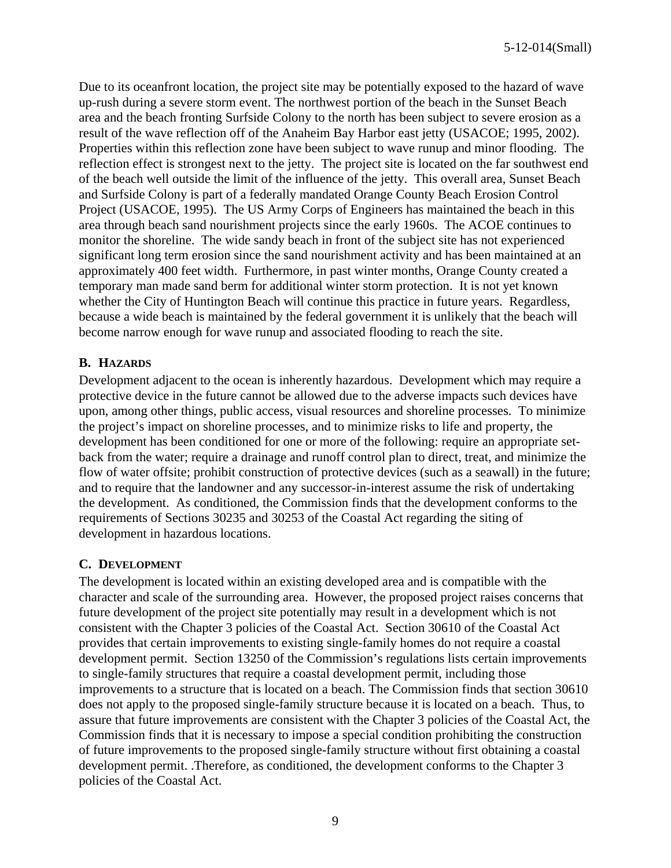Due to its oceanfront location, the project site may be potentially exposed to the hazard of wave up-rush during a severe storm event. The northwest portion of the beach in the Sunset Beach area and the beach fronting Surfside Colony to the north has been subject to severe erosion as a result of the wave reflection off of the Anaheim Bay Harbor east jetty (USACOE; 1995, 2002). Properties within this reflection zone have been subject to wave runup and minor flooding. The reflection effect is strongest next to the jetty. The project site is located on the far southwest end of the beach well outside the limit of the influence of the jetty. This overall area, Sunset Beach and Surfside Colony is part of a federally mandated Orange County Beach Erosion Control Project (USACOE, 1995). The US Army Corps of Engineers has maintained the beach in this area through beach sand nourishment projects since the early 1960s. The ACOE continues to monitor the shoreline. The wide sandy beach in front of the subject site has not experienced significant long term erosion since the sand nourishment activity and has been maintained at an approximately 400 feet width. Furthermore, in past winter months, Orange County created a temporary man made sand berm for additional winter storm protection. It is not yet known whether the City of Huntington Beach will continue this practice in future years. Regardless, because a wide beach is maintained by the federal government it is unlikely that the beach will become narrow enough for wave runup and associated flooding to reach the site.

## **B. HAZARDS**

Development adjacent to the ocean is inherently hazardous. Development which may require a protective device in the future cannot be allowed due to the adverse impacts such devices have upon, among other things, public access, visual resources and shoreline processes. To minimize the project's impact on shoreline processes, and to minimize risks to life and property, the development has been conditioned for one or more of the following: require an appropriate setback from the water; require a drainage and runoff control plan to direct, treat, and minimize the flow of water offsite; prohibit construction of protective devices (such as a seawall) in the future; and to require that the landowner and any successor-in-interest assume the risk of undertaking the development. As conditioned, the Commission finds that the development conforms to the requirements of Sections 30235 and 30253 of the Coastal Act regarding the siting of development in hazardous locations.

#### **C. DEVELOPMENT**

The development is located within an existing developed area and is compatible with the character and scale of the surrounding area. However, the proposed project raises concerns that future development of the project site potentially may result in a development which is not consistent with the Chapter 3 policies of the Coastal Act. Section 30610 of the Coastal Act provides that certain improvements to existing single-family homes do not require a coastal development permit. Section 13250 of the Commission's regulations lists certain improvements to single-family structures that require a coastal development permit, including those improvements to a structure that is located on a beach. The Commission finds that section 30610 does not apply to the proposed single-family structure because it is located on a beach. Thus, to assure that future improvements are consistent with the Chapter 3 policies of the Coastal Act, the Commission finds that it is necessary to impose a special condition prohibiting the construction of future improvements to the proposed single-family structure without first obtaining a coastal development permit. .Therefore, as conditioned, the development conforms to the Chapter 3 policies of the Coastal Act.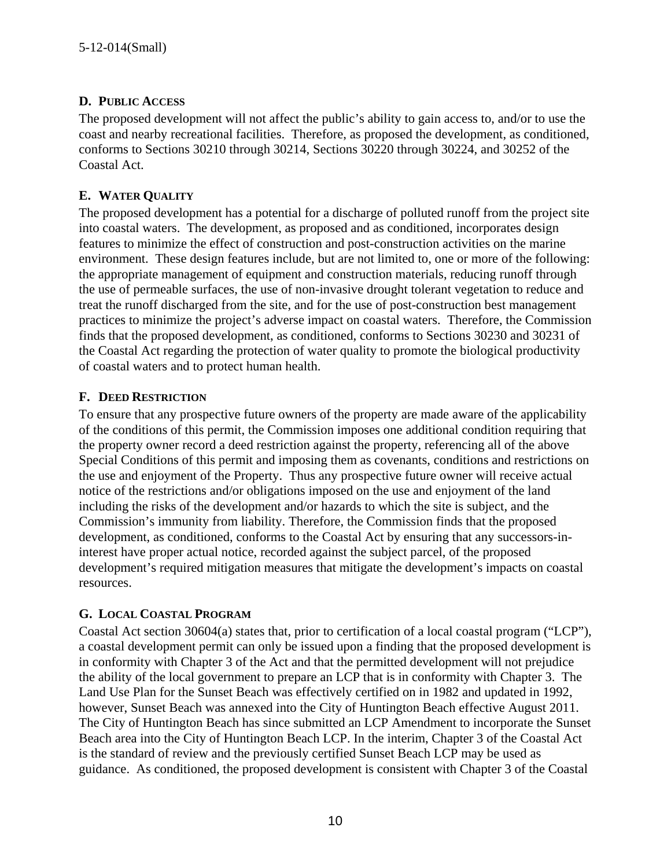## **D. PUBLIC ACCESS**

The proposed development will not affect the public's ability to gain access to, and/or to use the coast and nearby recreational facilities. Therefore, as proposed the development, as conditioned, conforms to Sections 30210 through 30214, Sections 30220 through 30224, and 30252 of the Coastal Act.

## **E. WATER QUALITY**

The proposed development has a potential for a discharge of polluted runoff from the project site into coastal waters. The development, as proposed and as conditioned, incorporates design features to minimize the effect of construction and post-construction activities on the marine environment. These design features include, but are not limited to, one or more of the following: the appropriate management of equipment and construction materials, reducing runoff through the use of permeable surfaces, the use of non-invasive drought tolerant vegetation to reduce and treat the runoff discharged from the site, and for the use of post-construction best management practices to minimize the project's adverse impact on coastal waters. Therefore, the Commission finds that the proposed development, as conditioned, conforms to Sections 30230 and 30231 of the Coastal Act regarding the protection of water quality to promote the biological productivity of coastal waters and to protect human health.

## **F. DEED RESTRICTION**

To ensure that any prospective future owners of the property are made aware of the applicability of the conditions of this permit, the Commission imposes one additional condition requiring that the property owner record a deed restriction against the property, referencing all of the above Special Conditions of this permit and imposing them as covenants, conditions and restrictions on the use and enjoyment of the Property. Thus any prospective future owner will receive actual notice of the restrictions and/or obligations imposed on the use and enjoyment of the land including the risks of the development and/or hazards to which the site is subject, and the Commission's immunity from liability. Therefore, the Commission finds that the proposed development, as conditioned, conforms to the Coastal Act by ensuring that any successors-ininterest have proper actual notice, recorded against the subject parcel, of the proposed development's required mitigation measures that mitigate the development's impacts on coastal resources.

## **G. LOCAL COASTAL PROGRAM**

Coastal Act section 30604(a) states that, prior to certification of a local coastal program ("LCP"), a coastal development permit can only be issued upon a finding that the proposed development is in conformity with Chapter 3 of the Act and that the permitted development will not prejudice the ability of the local government to prepare an LCP that is in conformity with Chapter 3. The Land Use Plan for the Sunset Beach was effectively certified on in 1982 and updated in 1992, however, Sunset Beach was annexed into the City of Huntington Beach effective August 2011. The City of Huntington Beach has since submitted an LCP Amendment to incorporate the Sunset Beach area into the City of Huntington Beach LCP. In the interim, Chapter 3 of the Coastal Act is the standard of review and the previously certified Sunset Beach LCP may be used as guidance. As conditioned, the proposed development is consistent with Chapter 3 of the Coastal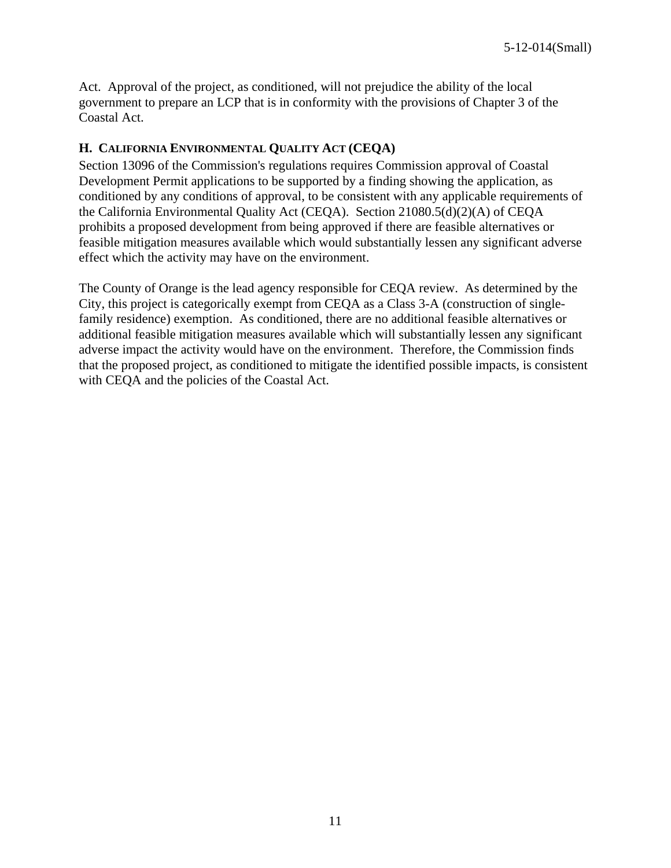Act. Approval of the project, as conditioned, will not prejudice the ability of the local government to prepare an LCP that is in conformity with the provisions of Chapter 3 of the Coastal Act.

## **H. CALIFORNIA ENVIRONMENTAL QUALITY ACT (CEQA)**

Section 13096 of the Commission's regulations requires Commission approval of Coastal Development Permit applications to be supported by a finding showing the application, as conditioned by any conditions of approval, to be consistent with any applicable requirements of the California Environmental Quality Act (CEQA). Section 21080.5(d)(2)(A) of CEQA prohibits a proposed development from being approved if there are feasible alternatives or feasible mitigation measures available which would substantially lessen any significant adverse effect which the activity may have on the environment.

The County of Orange is the lead agency responsible for CEQA review. As determined by the City, this project is categorically exempt from CEQA as a Class 3-A (construction of singlefamily residence) exemption. As conditioned, there are no additional feasible alternatives or additional feasible mitigation measures available which will substantially lessen any significant adverse impact the activity would have on the environment. Therefore, the Commission finds that the proposed project, as conditioned to mitigate the identified possible impacts, is consistent with CEQA and the policies of the Coastal Act.